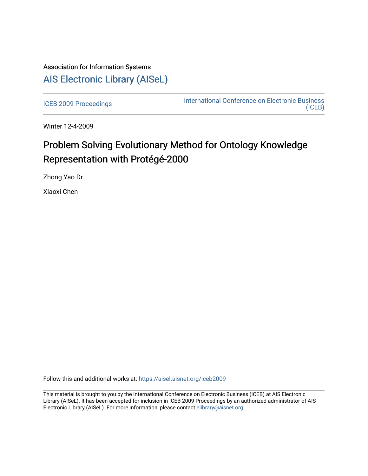## Association for Information Systems [AIS Electronic Library \(AISeL\)](https://aisel.aisnet.org/)

[ICEB 2009 Proceedings](https://aisel.aisnet.org/iceb2009) **International Conference on Electronic Business** [\(ICEB\)](https://aisel.aisnet.org/iceb) 

Winter 12-4-2009

# Problem Solving Evolutionary Method for Ontology Knowledge Representation with Protégé-2000

Zhong Yao Dr.

Xiaoxi Chen

Follow this and additional works at: [https://aisel.aisnet.org/iceb2009](https://aisel.aisnet.org/iceb2009?utm_source=aisel.aisnet.org%2Ficeb2009%2F77&utm_medium=PDF&utm_campaign=PDFCoverPages)

This material is brought to you by the International Conference on Electronic Business (ICEB) at AIS Electronic Library (AISeL). It has been accepted for inclusion in ICEB 2009 Proceedings by an authorized administrator of AIS Electronic Library (AISeL). For more information, please contact [elibrary@aisnet.org.](mailto:elibrary@aisnet.org%3E)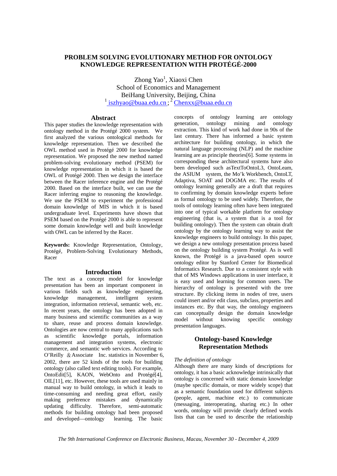## **PROBLEM SOLVING EVOLUTIONARY METHOD FOR ONTOLOGY KNOWLEDGE REPRESENTATION WITH PROTÉGÉ-2000**

Zhong Yao<sup>1</sup>, Xiaoxi Chen School of Economics and Management BeiHang University, Beijing, China <sup>1</sup> iszhyao@buaa.edu.cn;<sup>2</sup> Chenxx@buaa.edu.cn

### **Abstract**

This paper studies the knowledge representation with ontology method in the Protégé 2000 system. We first analyzed the various ontological methods for knowledge representation. Then we described the OWL method used in Protégé 2000 for knowledge representation. We proposed the new method named problem-solving evolutionary method (PSEM) for knowledge representation in which it is based the OWL of Protégé 2000. Then we design the interface between the Racer inference engine and the Protégé 2000. Based on the interface built, we can use the Racer inferring engine to reasoning the knowledge. We use the PSEM to experiment the professional domain knowledge of MIS in which it is based undergraduate level. Experiments have shown that PSEM based on the Protégé 2000 is able to represent some domain knowledge well and built knowledge with OWL can be inferred by the Racer.

**Keywords:** Knowledge Representation, Ontology, Protégé, Problem-Solving Evolutionary Methods, Racer

#### **Introduction**

The text as a concept model for knowledge presentation has been an important component in various fields such as knowledge engineering, knowledge management, intelligent system integration, information retrieval, semantic web, etc. In recent years, the ontology has been adopted in many business and scientific communities as a way to share, reuse and process domain knowledge. Ontologies are now central to many applications such as scientific knowledge portals, information management and integration systems, electronic commerce, and semantic web services. According to O'Reilly &Associate Inc. statistics in November 6, 2002, there are 52 kinds of the tools for building ontology (also called text editing tools). For example, OntoEdit[5], KAON, WebOnto and Protégé[4], OIL[11], etc. However, these tools are used mainly in manual way to build ontology, in which it leads to time-consuming and needing great effort, easily making preference mistakes and dynamically updating difficulty. Therefore, semi-automatic methods for building ontology had been proposed and developed—ontology learning. The basic

concepts of ontology learning are ontology generation, ontology mining and ontology extraction. This kind of work had done in 90s of the last century. There has informed a basic system architecture for building ontology, in which the natural language processing (NLP) and the machine learning are as principle theories[6]. Some systems in corresponding these architectural systems have also been developed such asTextToOntoL3, OntoLeam, the ASIUM system, the Mo'k Workbench, OntoLT, Adaptiva, SOAT and DOGMA etc. The results of ontology learning generally are a draft that requires to confirming by domain knowledge experts before as formal ontology to be used widely. Therefore, the tools of ontology learning often have been integrated into one of typical workable platform for ontology engineering (that is, a system that is a tool for building ontology). Then the system can obtain draft ontology by the ontology learning way to assist the knowledge engineers to build ontology. In this paper, we design a new ontology presentation process based on the ontology building system Protégé. As is well known, the Protégé is a java-based open source ontology editor by Stanford Center for Biomedical Informatics Research. Due to a consistent style with that of MS Windows applications in user interface, it is easy used and learning for common users. The hierarchy of ontology is presented with the tree structure. By clicking items in nodes of tree, users could insert and/or edit class, subclass, properties and instances etc. By that way, the ontology engineers can conceptually design the domain knowledge model without knowing specific ontology presentation languages.

## **Ontology-based Knowledge Representation Methods**

#### *The definition of ontology*

Although there are many kinds of descriptions for ontology, it has a basic acknowledge intrinsically that ontology is concerned with static domain knowledge (maybe specific domain, or more widely scope) that as a semantic foundation used for different subjects (people, agent, machine etc.) to communicate (messaging, interoperating, sharing etc.) In other words, ontology will provide clearly defined words lists that can be used to describe the relationship

*The 9th International Conference on Electronic Business, Macau, November 30 - December 4, 2009*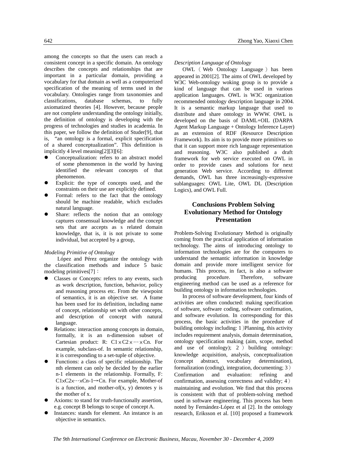among the concepts so that the users can reach a consistent concept in a specific domain. An ontology describes the concepts and relationships that are important in a particular domain, providing a vocabulary for that domain as well as a computerized specification of the meaning of terms used in the vocabulary. Ontologies range from taxonomies and classifications, database schemas, to fully axiomatized theories [4]. However, because people are not complete understanding the ontology initially, the definition of ontology is developing with the progress of technologies and studies in academia. In this paper, we follow the definition of Studer[9], that is, "an ontology is a formal, explicit specification of a shared conceptualization". This definition is implicitly 4 level meaning[2][3][6]:

- Conceptualization: refers to an abstract model of some phenomenon in the world by having identified the relevant concepts of that phenomenon.
- Explicit: the type of concepts used, and the constraints on their use are explicitly defined.
- Formal: refers to the fact that the ontology should be machine readable, which excludes natural language.
- Share: reflects the notion that an ontology captures consensual knowledge and the concept sets that are accepts as s related domain knowledge, that is, it is not private to some individual, but accepted by a group,

#### *Modeling Primitive of Ontology*

López and Pérez organize the ontology with the classification methods and induce 5 basic modeling primitives[7]:

- Classes or Concepts: refers to any events, such as work description, function, behavior, policy and reasoning process etc. From the viewpoint of semantics, it is an objective set. A frame has been used for its definition, including name of concept, relationship set with other concepts, and description of concept with natural language.
- Relations: interaction among concepts in domain, formally, it is an n-dimension subset of Cartesian product: R:  $C1 \times C2 \times \cdots \times Cn$ . For example, subclass-of. In semantic relationship, it is corresponding to a set-tuple of objective.
- Functions: a class of specific relationship. The nth element can only be decided by the earlier n-1 elements in the relationship. Formally, F: C1×C2×…×Cn-1→Cn. For example, Mother-of is a function, and mother-of(x, y) denotes y is the mother of x.
- Axioms: to stand for truth-functionally assertion, e.g. concept B belongs to scope of concept A.
- Instances: stands for element. An instance is an objective in semantics.

*Description Language of Ontology* 

OWL ( Web Ontology Language ) has been appeared in 2001[2]. The aims of OWL developed by W3C Web-ontology woking group is to provide a kind of language that can be used in various application languages. OWL is W3C organization recommended ontology description language in 2004. It is a semantic markup language that used to distribute and share ontology in WWW. OWL is developed on the basis of DAML+OIL (DARPA Agent Markup Language + Ontology Inference Layer) as an extension of RDF (Resource Description Framework). Its aim is to provide more primitives so that it can support more rich language representation and reasoning. W3C also published a draft framework for web service executed on OWL in order to provide cases and solutions for next generation Web service. According to different demands, OWL has three increasingly-expressive sublanguages: OWL Lite, OWL DL (Description Logics), and OWL Full.

## **Conclusions Problem Solving Evolutionary Method for Ontology Presentation**

Problem-Solving Evolutionary Method is originally coming from the practical application of information technology. The aims of introducing ontology to information technologies are for the computers to understand the semantic information in knowledge domain and provide more intelligent service for humans. This process, in fact, is also a software producing procedure. Therefore, software engineering method can be used as a reference for building ontology in information technologies.

In process of software development, four kinds of activities are often conducted: making specification of software, software coding, software confirmation, and software evolution. In corresponding for this process, the basic activities in the procedure of building ontology including: 1)Planning, this activity includes requirement analysis, domain determination, ontology specification making (aim, scope, method and use of ontology); 2 ) building ontology: knowledge acquisition, analysis, conceptualization (concept abstract, vocabulary determination), formalization (coding), integration, documenting; 3) Confirmation and evaluation: refining and confirmation, assessing correctness and validity; 4) maintaining and evolution. We find that this process is consistent with that of problem-solving method used in software engineering. This process has been noted by Fernández-López et al [2]. In the ontology research, Eriksson et al. [10] proposed a framework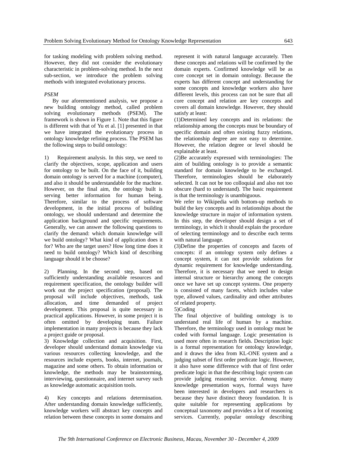for tasking modeling with problem solving method. However, they did not consider the evolutionary characteristic in problem-solving method. In the next sub-section, we introduce the problem solving methods with integrated evolutionary process.

#### *PSEM*

By our aforementioned analysis, we propose a new building ontology method, called problem solving evolutionary methods (PSEM). The framework is shown in Figure 1. Note that this figure is different with that of Yu et al. [1] presented in that we have integrated the evolutionary process in ontology knowledge refining process. The PSEM has the following steps to build ontology:

1) Requirement analysis. In this step, we need to clarify the objectives, scope, application and users for ontology to be built. On the face of it, building domain ontology is served for a machine (computer), and also it should be understandable for the machine. However, on the final aim, the ontology built is serving better information for human being. Therefore, similar to the process of software development, in the initial process of building ontology, we should understand and determine the application background and specific requirements. Generally, we can answer the following questions to clarify the demand: which domain knowledge will we build ontology? What kind of application does it for? Who are the target users? How long time does it need to build ontology? Which kind of describing language should it be choose?

2) Planning. In the second step, based on sufficiently understanding available resources and requirement specification, the ontology builder will work out the project specification (proposal). The proposal will include objectives, methods, task allocation, and time demanded of project development. This proposal is quite necessary in practical applications. However, in some project it is often omitted by developing team. Failure implementation in many projects is because they lack a project guide or proposal.

3) Knowledge collection and acquisition. First, developer should understand domain knowledge via various resources collecting knowledge, and the resources include experts, books, internet, journals, magazine and some others. To obtain information or knowledge, the methods may be brainstorming, interviewing, questionnaire, and internet survey such as knowledge automatic acquisition tools.

4) Key concepts and relations determination. After understanding domain knowledge sufficiently, knowledge workers will abstract key concepts and relation between these concepts in some domains and represent it with natural language accurately. Then these concepts and relations will be confirmed by the domain experts. Confirmed knowledge will be as core concept set in domain ontology. Because the experts has different concept and understanding for some concepts and knowledge workers also have different levels, this process can not be sure that all core concept and relation are key concepts and covers all domain knowledge. However, they should satisfy at least:

(1)Determined key concepts and its relations: the relationship among the concepts must be boundary of specific domain and often existing fuzzy relations, the relationship degree are not easy to determine. However, the relation degree or level should be explainable at least.

(2)Be accurately expressed with terminologies: The aim of building ontology is to provide a semantic standard for domain knowledge to be exchanged. Therefore, terminologies should be elaborately selected. It can not be too colloquial and also not too obscure (hard to understand). The basic requirement is that the terminology is unambiguous.

We refer to Wikipedia with bottom-up methods to build the key concepts and its relationships about the knowledge structure in major of information system. In this step, the developer should design a set of terminology, in which it should explain the procedure of selecting terminology and to describe each terms with natural language.

(3)Define the properties of concepts and facets of concepts: if an ontology system only defines a concept system, it can not provide solutions for dynamic requirement for knowledge understanding. Therefore, it is necessary that we need to design internal structure or hierarchy among the concepts once we have set up concept systems. One property is consisted of many facets, which includes value type, allowed values, cardinality and other attributes of related property.

#### 5)Coding

The final objective of building ontology is to understand real life of human by a machine. Therefore, the terminology used in ontology must be coded with formal language. Logic presentation is used more often in research fields. Description logic is a formal representation for ontology knowledge, and it draws the idea from KL-ONE system and a judging subset of first order predicate logic. However, it also have some difference with that of first order predicate logic in that the describing logic system can provide judging reasoning service. Among many knowledge presentation ways, formal ways have been interested in developers and researchers is because they have distinct theory foundation. It is quite suitable for representing applications by conceptual taxonomy and provides a lot of reasoning services. Currently, popular ontology describing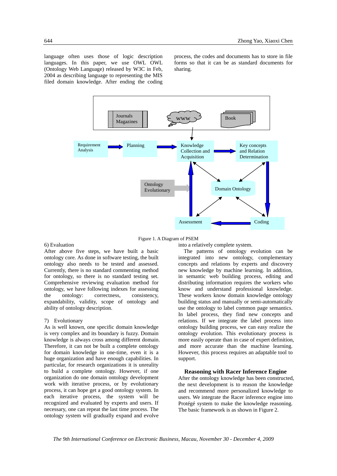language often uses those of logic description languages. In this paper, we use OWL OWL (Ontology Web Language) released by W3C in Feb, 2004 as describing language to representing the MIS filed domain knowledge. After ending the coding

process, the codes and documents has to store in file forms so that it can be as standard documents for sharing.



Figure 1. A Diagram of PSEM

## 6) Evaluation

After above five steps, we have built a basic ontology core. As done in software testing, the built ontology also needs to be tested and assessed. Currently, there is no standard commenting method for ontology, so there is no standard testing set. Comprehensive reviewing evaluation method for ontology, we have following indexes for assessing the ontology: correctness, consistency, expandability, validity, scope of ontology and ability of ontology description.

#### 7) Evolutionary

As is well known, one specific domain knowledge is very complex and its boundary is fuzzy. Domain knowledge is always cross among different domain. Therefore, it can not be built a complete ontology for domain knowledge in one-time, even it is a huge organization and have enough capabilities. In particular, for research organizations it is unreality to build a complete ontology. However, if one organization do one domain ontology development work with iterative process, or by evolutionary process, it can hope get a good ontology system. In each iterative process, the system will be recognized and evaluated by experts and users. If necessary, one can repeat the last time process. The ontology system will gradually expand and evolve

into a relatively complete system.

The patterns of ontology evolution can be integrated into new ontology, complementary concepts and relations by experts and discovery new knowledge by machine learning. In addition, in semantic web building process, editing and distributing information requires the workers who know and understand professional knowledge. These workers know domain knowledge ontology building status and manually or semi-automatically use the ontology to label common page semantics. In label process, they find new concepts and relations. If we integrate the label process into ontology building process, we can easy realize the ontology evolution. This evolutionary process is more easily operate than in case of expert definition, and more accurate than the machine learning. However, this process requires an adaptable tool to support.

#### **Reasoning with Racer Inference Engine**

After the ontology knowledge has been constructed, the next development is to reason the knowledge and recommend more personalized knowledge to users. We integrate the Racer inference engine into Protégé system to make the knowledge reasoning. The basic framework is as shown in Figure 2.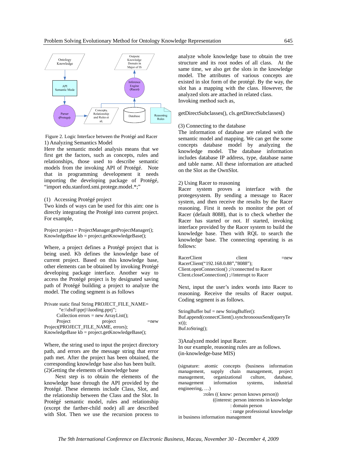

Figure 2. Logic Interface between the Protégé and Racer 1) Analyzing Semantics Model

Here the semantic model analysis means that we first get the factors, such as concepts, rules and relationships, those used to describe semantic models from the invoking API of Protégé. Note that in programming development it needs importing the developing package of Protégé, "import edu.stanford.smi.protege.model.\*;"

(1) Accessing Protégé project

Two kinds of ways can be used for this aim: one is directly integrating the Protégé into current project. For example,

Project project = ProjectManager.getProjectManager(); KnowledgeBase  $kb = project.getKnowledgeBase$ );

Where, a project defines a Protégé project that is being used. Kb defines the knowledge base of current project. Based on this knowledge base, other elements can be obtained by invoking Protégé developing package interface. Another way to access the Protégé project is by designated saving path of Protégé building a project to analyze the model. The coding segment is as follows

Private static final String PROJECT\_FILE\_NAME= "e:\\dxd\\pprj\\luoding.pprj"; Collection errors = new ArrayList(); Project project =new Project(PROJECT\_FILE\_NAME, errors); KnowledgeBase kb = project.getKnowledgeBase();

Where, the string used to input the project directory path, and errors are the message string that error path met. After the project has been obtained, the corresponding knowledge base also has been built. (2)Getting the elements of knowledge base

 Next step is to obtain the elements of the knowledge base through the API provided by the Protégé. These elements include Class, Slot, and the relationship between the Class and the Slot. In Protégé semantic model, rules and relationship (except the farther-child node) all are described with Slot. Then we use the recursion process to

analyze whole knowledge base to obtain the tree structure and its root nodes of all class. At the same time, we also get the slots in the knowledge model. The attributes of various concepts are existed in slot form of the protégé. By the way, the slot has a mapping with the class. However, the analyzed slots are attached in related class. Invoking method such as,

getDirectSubclasses(), cls.getDirectSubclasses()

#### (3) Connecting to the database

The information of database are related with the semantic model and mapping. We can get the some concepts database model by analyzing the knowledge model. The database information includes database IP address, type, database name and table name. All these information are attached on the Slot as the OwnSlot.

#### 2) Using Racer to reasoning

Racer system proves a interface with the protegesystem. By sending a message to Racer system, and then receive the results by the Racer reasoning. First it needs to monitor the port of Racer (default 8088), that is to check whether the Racer has started or not. If started, invoking interface provided by the Racer system to build the knowledge base. Then with RQL to search the knowledge base. The connecting operating is as follows:

 $\Gamma$ RacerClient client  $\Gamma$ RacerClient("192.168.0.88","8088"); Client.openConnection() ;//connectted to Racer Client.closeConnection() ;//interrupt to Racer

Next, input the user's index words into Racer to reasoning. Receive the results of Racer output. Coding segment is as follows.

StringBuffer buf = new StringBuffer(): Buf.append(connectClient().synchronoousSend(queryTe xt)); Buf.toString();

3)Analyzed model input Racer. In our example, reasoning rules are as follows. (in-knowledge-base MIS)

(signature: atomic concepts (business information management, supply chain management, project management, organizational culture, database,<br>management information systems industrial management information systems, engineering, …) :roles (( know: person knows person)) ((interest: person interests in knowledge : domain person : range professional knowledge

in business information management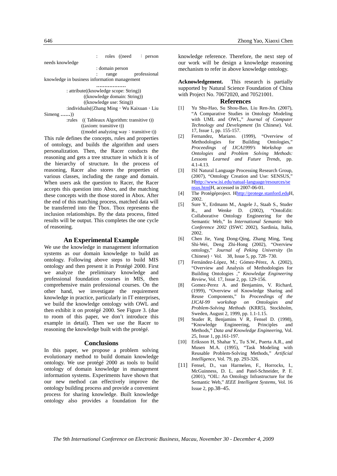

:individuals((Zhang Ming, Wu Kaixuan, Liu Simeng **……**))

 :rules (( Tableaux Algorithm: transitive t)) ((axiom: transitive t))

 $((model \text{ analyzing way : transitive t}))$ This rule defines the concepts, rules and properties of ontology, and builds the algorithm and users personalization. Then, the Racer conducts the reasoning and gets a tree structure in which it is of the hierarchy of structure. In the process of reasoning, Racer also stores the properties of various classes, including the range and domain. When users ask the question to Racer, the Racer accepts this question into Abox, and the matching these concepts with the those stored in Abox. After the end of this matching process, matched data will be transferred into the Tbox. Tbox represents the inclusion relationships. By the data process, fitted results will be output. This completes the one cycle of reasoning.

#### **An Experimental Example**

We use the knowledge in management information systems as our domain knowledge to build an ontology. Following above steps to build MIS ontology and then present it in Protégé 2000. First we analyze the preliminary knowledge and professional foundation courses in MIS, then comprehensive main professional courses. On the other hand, we investigate the requirement knowledge in practice, particularly in IT enterprises, we build the knowledge ontology with OWL and then exhibit it on protégé 2000. See Figure 3. (due to room of this paper, we don't introduce this example in detail). Then we use the Racer to reasoning the knowledge built with the protégé.

#### **Conclusions**

In this paper, we propose a problem solving evolutionary method to build domain knowledge ontology. We use protégé 2000 as tools to build ontology of domain knowledge in management information systems. Experiments have shown that our new method can effectively improve the ontology building process and provide a convenient process for sharing knowledge. Built knowledge ontology also provides a foundation for the

knowledge reference. Therefore, the next step of our work will be design a knowledge reasoning mechanism to refer in above knowledge ontology.

**Acknowledgement.** This research is partially supported by Natural Science Foundation of China with Project No. 70672020, and 70521001.

#### **References**

- [1] Yu Shu-Hao, Su Shou-Bao, Liu Ren-Jin. (2007), "A Comparative Studies in Ontology Modeling with UML and OWL," *Journal of Computer Technology and Development* (In Chinese). Vol. 17, Issue 1, pp. 155-157.
- [2] Fernandez, Mariano. (1999), "Overview of Methodologies for Building Ontologies,"<br>Proceedings of IJCA1999's Workshop on *Proceedings of IJCA1999's Ontologies and Problem Solving Methods: Lessons Learned and Future Trends*, pp. 4.1-4.13.
- [3] ISI Natural Language Processing Research Group, (2007), "Ontology Creation and Use: SENSUS," Hhttp://www.isi.edu/natual-language/resources/se nsus.htmlH, accessed in 2007-06-01.
- [4] The Protégéproject. Hhttp://protege.stanford.eduH, 2002.
- [5] Sure Y., Erdmann M., Angele J., Staab S., Studer R., and Wenke D. (2002), "OntoEdit: Collaborative Ontology Engineering for the Semantic Web," In *International Semantic Web Conference 2002* (ISWC 2002), Sardinia, Italia, 2002.
- [6] Chen Jie, Yang Dong-Qing, Zhang Ming, Tang Shi-Wei, Deng Zhi-Hong (2002), "Overview ontology," *Journal of Peking University* (In Chinese), Vol. 38, Issue 5, pp. 728- 730.
- [7] Fernández-López, M.; Gómez-Pérez, A. (2002), "Overview and Analysis of Methodologies for Building Ontologies ," *Knowledge Engineering Review*, Vol. 17, Issue 2, pp. 129-156.
- [8] Gomez-Perez A. and Benjamins, V. Richard, (1999), "Overview of Knowledge Sharing and Reuse Components," In *Proceedings of the IJCAI-99 workshop on Ontologies and Problem-Solving Methods* (KRR5), Stockholm, Sweden, August 2, 1999, pp. 1.1-1.15.
- [9] Studer R, Benjamins V R, Fensel D. (1998), "Knowledge Engineering, Principles and Methods," *Data and Knowledge Engineering*, Vol. 25, Issue 1, pp.161-197.
- [10] Eriksson H, Shahar Y., Tu S.W., Puerta A.R., and Musen M.A. (1995), "Task Modeling with Reusable Problem-Solving Methods," *Artificial Intelligence*, Vol. 79, pp. 293-326.
- [11] Fensel, D., van Harmelen, F., Horrocks, I., McGuinness, D. L. and Patel-Schneider, P. F. (2001), "OIL: An Ontology Infrastructure for the Semantic Web," *IEEE Intelligent Systems*, Vol. 16 Issue 2, pp.38–45.

*The 9th International Conference on Electronic Business, Macau, November 30 - December 4, 2009*